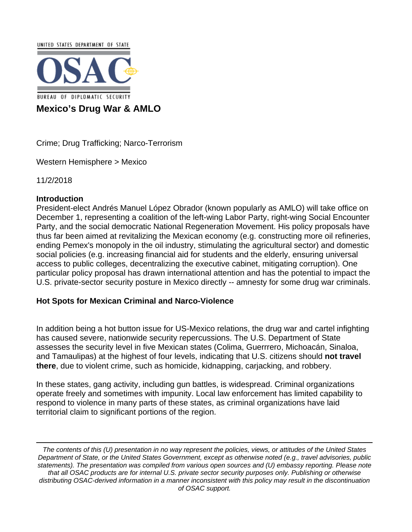UNITED STATES DEPARTMENT OF STATE **BUREAU OF DIPLOMATIC SECURITY Mexico's Drug War & AMLO**

Crime; Drug Trafficking; Narco-Terrorism

Western Hemisphere > Mexico

11/2/2018

# **Introduction**

President-elect Andrés Manuel López Obrador (known popularly as AMLO) will take office on December 1, representing a coalition of the left-wing Labor Party, right-wing Social Encounter Party, and the social democratic National Regeneration Movement. His policy proposals have thus far been aimed at revitalizing the Mexican economy (e.g. constructing more oil refineries, ending Pemex's monopoly in the oil industry, stimulating the agricultural sector) and domestic social policies (e.g. increasing financial aid for students and the elderly, ensuring universal access to public colleges, decentralizing the executive cabinet, mitigating corruption). One particular policy proposal has drawn international attention and has the potential to impact the U.S. private-sector security posture in Mexico directly -- amnesty for some drug war criminals.

### **Hot Spots for Mexican Criminal and Narco-Violence**

In addition being a hot button issue for US-Mexico relations, the drug war and cartel infighting has caused severe, nationwide security repercussions. The U.S. Department of State assesses the security level in five Mexican states (Colima, Guerrrero, Michoacán, Sinaloa, and Tamaulipas) at the highest of four levels, indicating that U.S. citizens should **not travel there**, due to violent crime, such as homicide, kidnapping, carjacking, and robbery.

In these states, gang activity, including gun battles, is widespread. Criminal organizations operate freely and sometimes with impunity. Local law enforcement has limited capability to respond to violence in many parts of these states, as criminal organizations have laid territorial claim to significant portions of the region.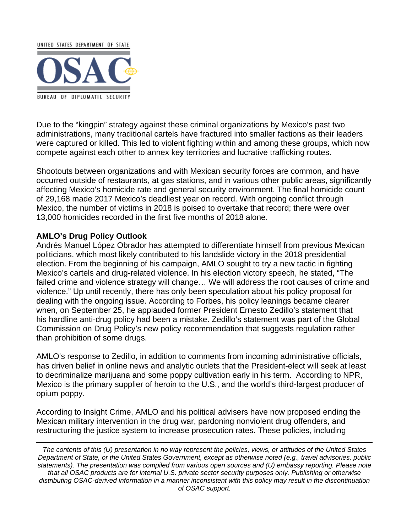

Due to the "kingpin" strategy against these criminal organizations by Mexico's past two administrations, many traditional cartels have fractured into smaller factions as their leaders were captured or killed. This led to violent fighting within and among these groups, which now compete against each other to annex key territories and lucrative trafficking routes.

Shootouts between organizations and with Mexican security forces are common, and have occurred outside of restaurants, at gas stations, and in various other public areas, significantly affecting Mexico's homicide rate and general security environment. The final homicide count of 29,168 made 2017 Mexico's deadliest year on record. With ongoing conflict through Mexico, the number of victims in 2018 is poised to overtake that record; there were over 13,000 homicides recorded in the first five months of 2018 alone.

# **AMLO's Drug Policy Outlook**

Andrés Manuel López Obrador has attempted to differentiate himself from previous Mexican politicians, which most likely contributed to his landslide victory in the 2018 presidential election. From the beginning of his campaign, AMLO sought to try a new tactic in fighting Mexico's cartels and drug-related violence. In his election victory speech, he stated, "The failed crime and violence strategy will change… We will address the root causes of crime and violence." Up until recently, there has only been speculation about his policy proposal for dealing with the ongoing issue. According to Forbes, his policy leanings became clearer when, on September 25, he applauded former President Ernesto Zedillo's statement that his hardline anti-drug policy had been a mistake. Zedillo's statement was part of the Global Commission on Drug Policy's new policy recommendation that suggests regulation rather than prohibition of some drugs.

AMLO's response to Zedillo, in addition to comments from incoming administrative officials, has driven belief in online news and analytic outlets that the President-elect will seek at least to decriminalize marijuana and some poppy cultivation early in his term. According to NPR, Mexico is the primary supplier of heroin to the U.S., and the world's third-largest producer of opium poppy.

According to Insight Crime, AMLO and his political advisers have now proposed ending the Mexican military intervention in the drug war, pardoning nonviolent drug offenders, and restructuring the justice system to increase prosecution rates. These policies, including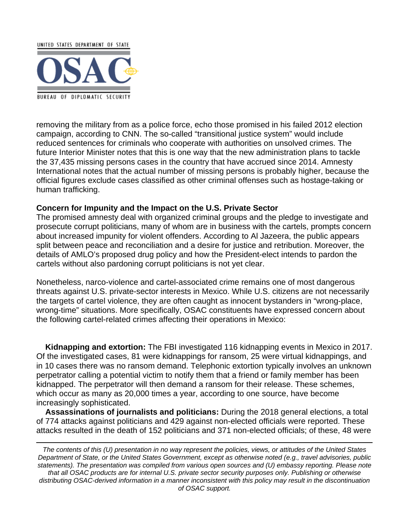

removing the military from as a police force, echo those promised in his failed 2012 election campaign, according to CNN. The so-called "transitional justice system" would include reduced sentences for criminals who cooperate with authorities on unsolved crimes. The future Interior Minister notes that this is one way that the new administration plans to tackle the 37,435 missing persons cases in the country that have accrued since 2014. Amnesty International notes that the actual number of missing persons is probably higher, because the official figures exclude cases classified as other criminal offenses such as hostage-taking or human trafficking.

#### **Concern for Impunity and the Impact on the U.S. Private Sector**

The promised amnesty deal with organized criminal groups and the pledge to investigate and prosecute corrupt politicians, many of whom are in business with the cartels, prompts concern about increased impunity for violent offenders. According to Al Jazeera, the public appears split between peace and reconciliation and a desire for justice and retribution. Moreover, the details of AMLO's proposed drug policy and how the President-elect intends to pardon the cartels without also pardoning corrupt politicians is not yet clear.

Nonetheless, narco-violence and cartel-associated crime remains one of most dangerous threats against U.S. private-sector interests in Mexico. While U.S. citizens are not necessarily the targets of cartel violence, they are often caught as innocent bystanders in "wrong-place, wrong-time" situations. More specifically, OSAC constituents have expressed concern about the following cartel-related crimes affecting their operations in Mexico:

 **Kidnapping and extortion:** The FBI investigated 116 kidnapping events in Mexico in 2017. Of the investigated cases, 81 were kidnappings for ransom, 25 were virtual kidnappings, and in 10 cases there was no ransom demand. Telephonic extortion typically involves an unknown perpetrator calling a potential victim to notify them that a friend or family member has been kidnapped. The perpetrator will then demand a ransom for their release. These schemes, which occur as many as 20,000 times a year, according to one source, have become increasingly sophisticated.

 **Assassinations of journalists and politicians:** During the 2018 general elections, a total of 774 attacks against politicians and 429 against non-elected officials were reported. These attacks resulted in the death of 152 politicians and 371 non-elected officials; of these, 48 were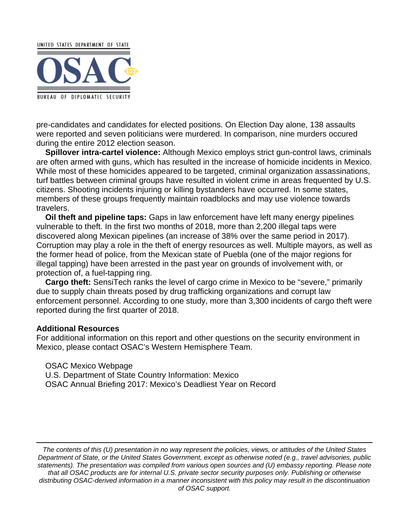

pre-candidates and candidates for elected positions. On Election Day alone, 138 assaults were reported and seven politicians were murdered. In comparison, nine murders occured during the entire 2012 election season.

 **Spillover intra-cartel violence:** Although Mexico employs strict gun-control laws, criminals are often armed with guns, which has resulted in the increase of homicide incidents in Mexico. While most of these homicides appeared to be targeted, criminal organization assassinations, turf battles between criminal groups have resulted in violent crime in areas frequented by U.S. citizens. Shooting incidents injuring or killing bystanders have occurred. In some states, members of these groups frequently maintain roadblocks and may use violence towards travelers.

 **Oil theft and pipeline taps:** Gaps in law enforcement have left many energy pipelines vulnerable to theft. In the first two months of 2018, more than 2,200 illegal taps were discovered along Mexican pipelines (an increase of 38% over the same period in 2017). Corruption may play a role in the theft of energy resources as well. Multiple mayors, as well as the former head of police, from the Mexican state of Puebla (one of the major regions for illegal tapping) have been arrested in the past year on grounds of involvement with, or protection of, a fuel-tapping ring.

 **Cargo theft:** SensiTech ranks the level of cargo crime in Mexico to be "severe," primarily due to supply chain threats posed by drug trafficking organizations and corrupt law enforcement personnel. According to one study, more than 3,300 incidents of cargo theft were reported during the first quarter of 2018.

#### **Additional Resources**

For additional information on this report and other questions on the security environment in Mexico, please contact OSAC's Western Hemisphere Team.

 OSAC Mexico Webpage U.S. Department of State Country Information: Mexico OSAC Annual Briefing 2017: Mexico's Deadliest Year on Record